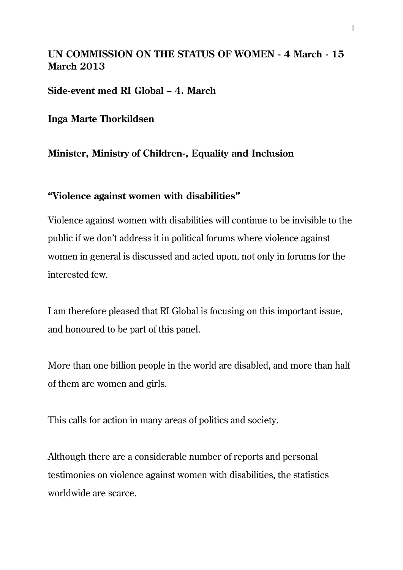## **UN COMMISSION ON THE STATUS OF WOMEN - 4 March - 15 March 2013**

**Side-event med RI Global – 4. March**

**Inga Marte Thorkildsen**

## **Minister, Ministry of Children-, Equality and Inclusion**

## **"Violence against women with disabilities"**

Violence against women with disabilities will continue to be invisible to the public if we don't address it in political forums where violence against women in general is discussed and acted upon, not only in forums for the interested few.

I am therefore pleased that RI Global is focusing on this important issue, and honoured to be part of this panel.

More than one billion people in the world are disabled, and more than half of them are women and girls.

This calls for action in many areas of politics and society.

Although there are a considerable number of reports and personal testimonies on violence against women with disabilities, the statistics worldwide are scarce.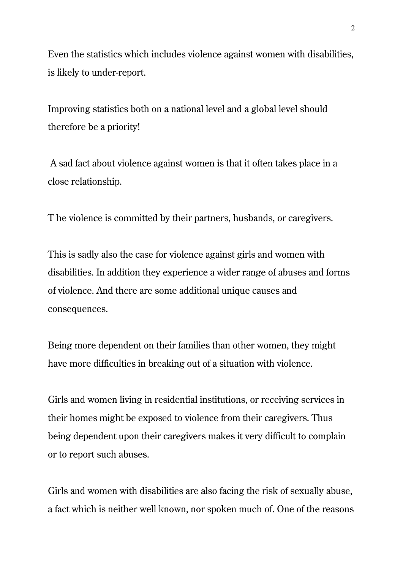Even the statistics which includes violence against women with disabilities, is likely to under-report.

Improving statistics both on a national level and a global level should therefore be a priority!

A sad fact about violence against women is that it often takes place in a close relationship.

T he violence is committed by their partners, husbands, or caregivers.

This is sadly also the case for violence against girls and women with disabilities. In addition they experience a wider range of abuses and forms of violence. And there are some additional unique causes and consequences.

Being more dependent on their families than other women, they might have more difficulties in breaking out of a situation with violence.

Girls and women living in residential institutions, or receiving services in their homes might be exposed to violence from their caregivers. Thus being dependent upon their caregivers makes it very difficult to complain or to report such abuses.

Girls and women with disabilities are also facing the risk of sexually abuse, a fact which is neither well known, nor spoken much of. One of the reasons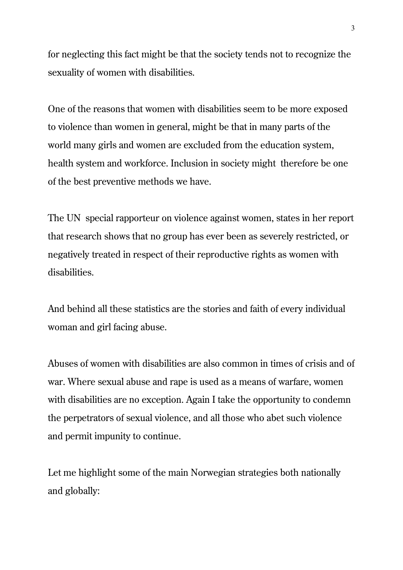for neglecting this fact might be that the society tends not to recognize the sexuality of women with disabilities.

One of the reasons that women with disabilities seem to be more exposed to violence than women in general, might be that in many parts of the world many girls and women are excluded from the education system, health system and workforce. Inclusion in society might therefore be one of the best preventive methods we have.

The UN special rapporteur on violence against women, states in her report that research shows that no group has ever been as severely restricted, or negatively treated in respect of their reproductive rights as women with disabilities.

And behind all these statistics are the stories and faith of every individual woman and girl facing abuse.

Abuses of women with disabilities are also common in times of crisis and of war. Where sexual abuse and rape is used as a means of warfare, women with disabilities are no exception. Again I take the opportunity to condemn the perpetrators of sexual violence, and all those who abet such violence and permit impunity to continue.

Let me highlight some of the main Norwegian strategies both nationally and globally: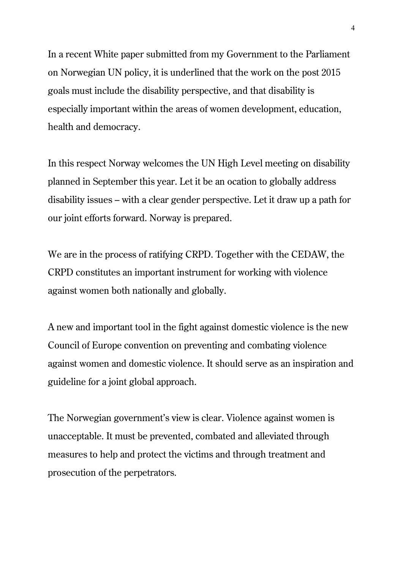In a recent White paper submitted from my Government to the Parliament on Norwegian UN policy, it is underlined that the work on the post 2015 goals must include the disability perspective, and that disability is especially important within the areas of women development, education, health and democracy.

In this respect Norway welcomes the UN High Level meeting on disability planned in September this year. Let it be an ocation to globally address disability issues – with a clear gender perspective. Let it draw up a path for our joint efforts forward. Norway is prepared.

We are in the process of ratifying CRPD. Together with the CEDAW, the CRPD constitutes an important instrument for working with violence against women both nationally and globally.

A new and important tool in the fight against domestic violence is the new Council of Europe convention on preventing and combating violence against women and domestic violence. It should serve as an inspiration and guideline for a joint global approach.

The Norwegian government's view is clear. Violence against women is unacceptable. It must be prevented, combated and alleviated through measures to help and protect the victims and through treatment and prosecution of the perpetrators.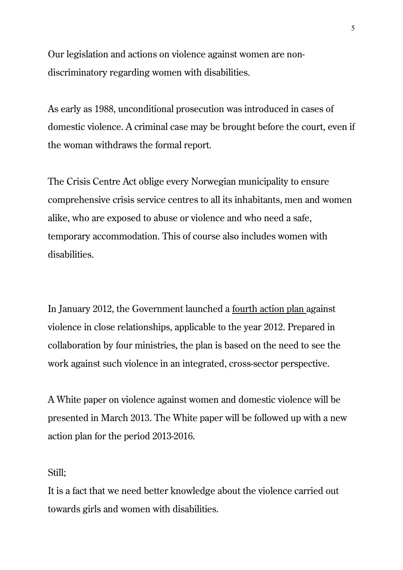Our legislation and actions on violence against women are nondiscriminatory regarding women with disabilities.

As early as 1988, unconditional prosecution was introduced in cases of domestic violence. A criminal case may be brought before the court, even if the woman withdraws the formal report.

The Crisis Centre Act oblige every Norwegian municipality to ensure comprehensive crisis service centres to all its inhabitants, men and women alike, who are exposed to abuse or violence and who need a safe, temporary accommodation. This of course also includes women with disabilities.

In January 2012, the Government launched a fourth action plan against violence in close relationships, applicable to the year 2012. Prepared in collaboration by four ministries, the plan is based on the need to see the work against such violence in an integrated, cross-sector perspective.

A White paper on violence against women and domestic violence will be presented in March 2013. The White paper will be followed up with a new action plan for the period 2013-2016.

## Still;

It is a fact that we need better knowledge about the violence carried out towards girls and women with disabilities.